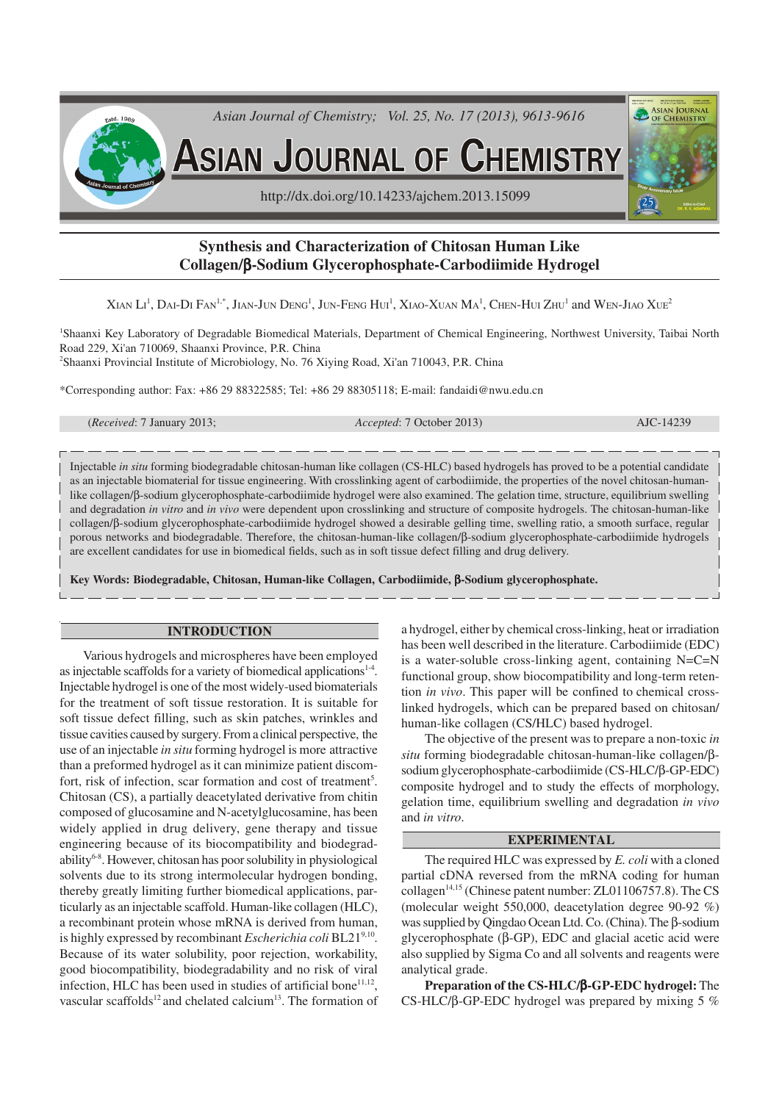

# **Synthesis and Characterization of Chitosan Human Like Collagen/**β**-Sodium Glycerophosphate-Carbodiimide Hydrogel**

Xian Li<sup>1</sup>, Dai-Di Fan<sup>1,\*</sup>, Jian-Jun Deng<sup>1</sup>, Jun-Feng Hui<sup>1</sup>, Xiao-Xuan Ma<sup>1</sup>, Chen-Hui Zhu<sup>1</sup> and Wen-Jiao Xue<sup>2</sup>

<sup>1</sup>Shaanxi Key Laboratory of Degradable Biomedical Materials, Department of Chemical Engineering, Northwest University, Taibai North Road 229, Xi'an 710069, Shaanxi Province, P.R. China <sup>2</sup>Shaanxi Provincial Institute of Microbiology, No. 76 Xiying Road, Xi'an 710043, P.R. China

\*Corresponding author: Fax: +86 29 88322585; Tel: +86 29 88305118; E-mail: fandaidi@nwu.edu.cn

| ( <i>Received</i> : 7 January 2013; |  |  |  |
|-------------------------------------|--|--|--|
|-------------------------------------|--|--|--|

(*Received*: 7 January 2013; *Accepted*: 7 October 2013) AJC-14239

Injectable *in situ* forming biodegradable chitosan-human like collagen (CS-HLC) based hydrogels has proved to be a potential candidate as an injectable biomaterial for tissue engineering. With crosslinking agent of carbodiimide, the properties of the novel chitosan-humanlike collagen/β-sodium glycerophosphate-carbodiimide hydrogel were also examined. The gelation time, structure, equilibrium swelling and degradation *in vitro* and *in vivo* were dependent upon crosslinking and structure of composite hydrogels. The chitosan-human-like collagen/β-sodium glycerophosphate-carbodiimide hydrogel showed a desirable gelling time, swelling ratio, a smooth surface, regular porous networks and biodegradable. Therefore, the chitosan-human-like collagen/β-sodium glycerophosphate-carbodiimide hydrogels are excellent candidates for use in biomedical fields, such as in soft tissue defect filling and drug delivery.

**Key Words: Biodegradable, Chitosan, Human-like Collagen, Carbodiimide,** β**-Sodium glycerophosphate.**

## **INTRODUCTION**

Various hydrogels and microspheres have been employed as injectable scaffolds for a variety of biomedical applications<sup>1-4</sup>. Injectable hydrogel is one of the most widely-used biomaterials for the treatment of soft tissue restoration. It is suitable for soft tissue defect filling, such as skin patches, wrinkles and tissue cavities caused by surgery. From a clinical perspective, the use of an injectable *in situ* forming hydrogel is more attractive than a preformed hydrogel as it can minimize patient discomfort, risk of infection, scar formation and cost of treatment<sup>5</sup>. Chitosan (CS), a partially deacetylated derivative from chitin composed of glucosamine and N-acetylglucosamine, has been widely applied in drug delivery, gene therapy and tissue engineering because of its biocompatibility and biodegrad $ability<sup>6-8</sup>$ . However, chitosan has poor solubility in physiological solvents due to its strong intermolecular hydrogen bonding, thereby greatly limiting further biomedical applications, particularly as an injectable scaffold. Human-like collagen (HLC), a recombinant protein whose mRNA is derived from human, is highly expressed by recombinant *Escherichia coli* BL21<sup>9,10</sup>. Because of its water solubility, poor rejection, workability, good biocompatibility, biodegradability and no risk of viral infection, HLC has been used in studies of artificial bone $11,12$ , vascular scaffolds<sup>12</sup> and chelated calcium<sup>13</sup>. The formation of

a hydrogel, either by chemical cross-linking, heat or irradiation has been well described in the literature. Carbodiimide (EDC) is a water-soluble cross-linking agent, containing N=C=N functional group, show biocompatibility and long-term retention *in vivo*. This paper will be confined to chemical crosslinked hydrogels, which can be prepared based on chitosan/ human-like collagen (CS/HLC) based hydrogel.

The objective of the present was to prepare a non-toxic *in situ* forming biodegradable chitosan-human-like collagen/βsodium glycerophosphate-carbodiimide (CS-HLC/β-GP-EDC) composite hydrogel and to study the effects of morphology, gelation time, equilibrium swelling and degradation *in vivo* and *in vitro*.

## **EXPERIMENTAL**

The required HLC was expressed by *E. coli* with a cloned partial cDNA reversed from the mRNA coding for human collagen<sup>14,15</sup> (Chinese patent number: ZL01106757.8). The CS (molecular weight 550,000, deacetylation degree 90-92 %) was supplied by Qingdao Ocean Ltd. Co. (China). The β-sodium glycerophosphate (β-GP), EDC and glacial acetic acid were also supplied by Sigma Co and all solvents and reagents were analytical grade.

**Preparation of the CS-HLC/**β**-GP-EDC hydrogel:** The CS-HLC/β-GP-EDC hydrogel was prepared by mixing 5 %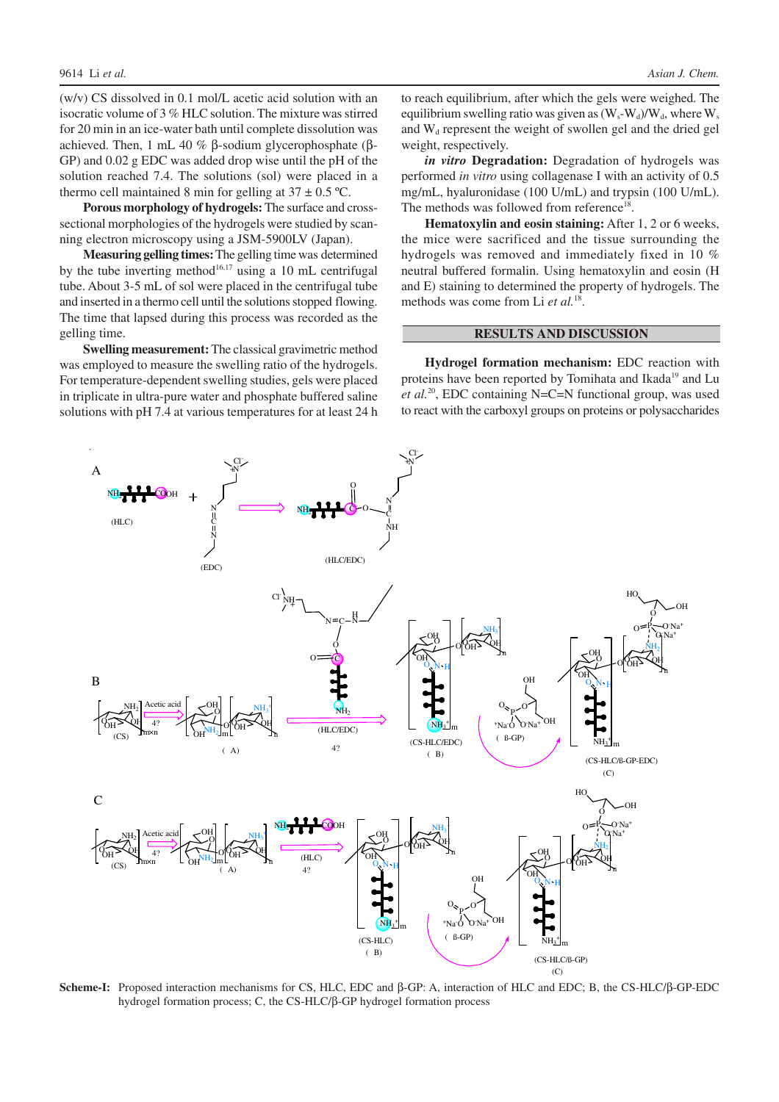(w/v) CS dissolved in 0.1 mol/L acetic acid solution with an isocratic volume of 3 % HLC solution. The mixture was stirred for 20 min in an ice-water bath until complete dissolution was achieved. Then, 1 mL 40 % β-sodium glycerophosphate (β-GP) and 0.02 g EDC was added drop wise until the pH of the solution reached 7.4. The solutions (sol) were placed in a thermo cell maintained 8 min for gelling at  $37 \pm 0.5$  °C.

**Porous morphology of hydrogels:** The surface and crosssectional morphologies of the hydrogels were studied by scanning electron microscopy using a JSM-5900LV (Japan).

**Measuring gelling times:** The gelling time was determined by the tube inverting method<sup>16,17</sup> using a 10 mL centrifugal tube. About 3-5 mL of sol were placed in the centrifugal tube and inserted in a thermo cell until the solutions stopped flowing. The time that lapsed during this process was recorded as the gelling time.

**Swelling measurement:**The classical gravimetric method was employed to measure the swelling ratio of the hydrogels. For temperature-dependent swelling studies, gels were placed in triplicate in ultra-pure water and phosphate buffered saline solutions with pH 7.4 at various temperatures for at least 24 h to reach equilibrium, after which the gels were weighed. The equilibrium swelling ratio was given as  $(W_s-W_d)/W_d$ , where W<sub>s</sub> and  $W_d$  represent the weight of swollen gel and the dried gel weight, respectively.

*in vitro* **Degradation:** Degradation of hydrogels was performed *in vitro* using collagenase I with an activity of 0.5 mg/mL, hyaluronidase (100 U/mL) and trypsin (100 U/mL). The methods was followed from reference<sup>18</sup>.

**Hematoxylin and eosin staining:** After 1, 2 or 6 weeks, the mice were sacrificed and the tissue surrounding the hydrogels was removed and immediately fixed in 10 % neutral buffered formalin. Using hematoxylin and eosin (H and E) staining to determined the property of hydrogels. The methods was come from Li *et al.*<sup>18</sup> .

### **RESULTS AND DISCUSSION**

**Hydrogel formation mechanism:** EDC reaction with proteins have been reported by Tomihata and Ikada<sup>19</sup> and Lu et al.<sup>20</sup>, EDC containing N=C=N functional group, was used to react with the carboxyl groups on proteins or polysaccharides



**Scheme-I:** Proposed interaction mechanisms for CS, HLC, EDC and β-GP: A, interaction of HLC and EDC; B, the CS-HLC/β-GP-EDC hydrogel formation process; C, the CS-HLC/β-GP hydrogel formation process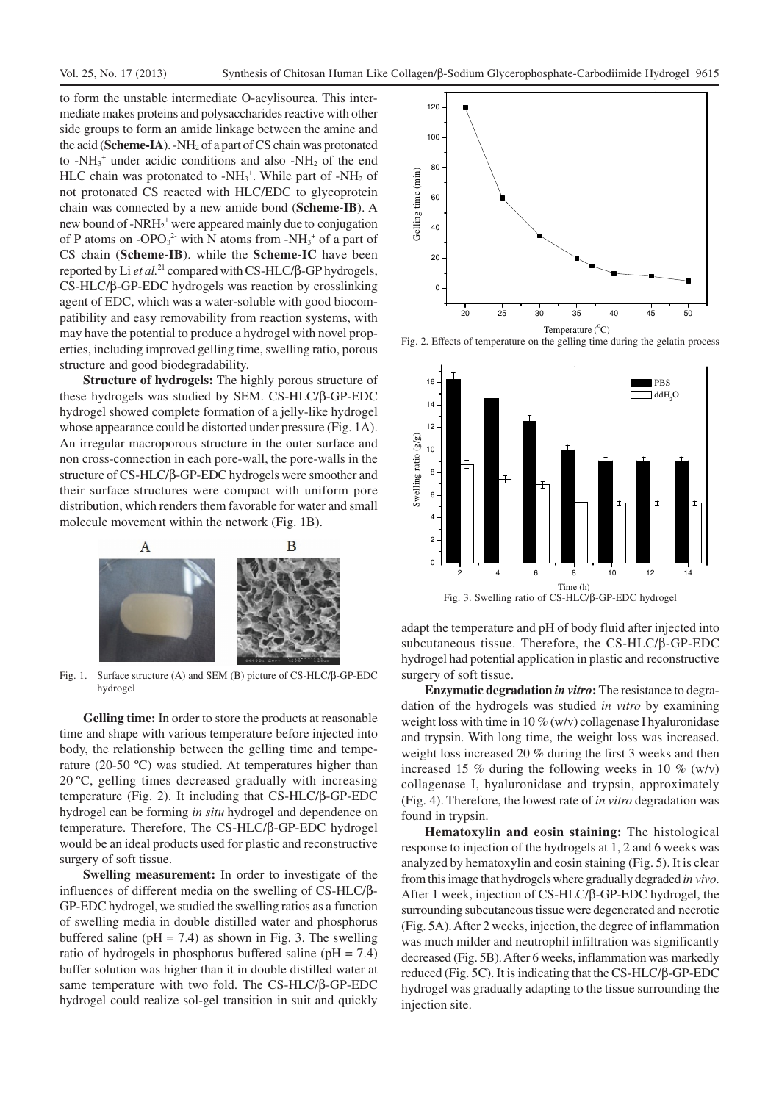to form the unstable intermediate O-acylisourea. This intermediate makes proteins and polysaccharides reactive with other side groups to form an amide linkage between the amine and the acid (**Scheme-IA**). -NH<sub>2</sub> of a part of CS chain was protonated to -NH<sub>3</sub><sup>+</sup> under acidic conditions and also -NH<sub>2</sub> of the end HLC chain was protonated to -NH $_3$ <sup>+</sup>. While part of -NH<sub>2</sub> of not protonated CS reacted with HLC/EDC to glycoprotein chain was connected by a new amide bond (**Scheme-IB**). A new bound of -NRH<sub>2</sub><sup>+</sup> were appeared mainly due to conjugation of P atoms on -OPO<sub>3</sub><sup>2</sup> with N atoms from -NH<sub>3</sub><sup>+</sup> of a part of CS chain (**Scheme-IB**). while the **Scheme-IC** have been reported by Li *et al.*<sup>21</sup> compared with CS-HLC/β-GP hydrogels, CS-HLC/β-GP-EDC hydrogels was reaction by crosslinking agent of EDC, which was a water-soluble with good biocompatibility and easy removability from reaction systems, with may have the potential to produce a hydrogel with novel properties, including improved gelling time, swelling ratio, porous structure and good biodegradability.

**Structure of hydrogels:** The highly porous structure of these hydrogels was studied by SEM. CS-HLC/β-GP-EDC hydrogel showed complete formation of a jelly-like hydrogel whose appearance could be distorted under pressure (Fig. 1A). An irregular macroporous structure in the outer surface and non cross-connection in each pore-wall, the pore-walls in the structure of CS-HLC/β-GP-EDC hydrogels were smoother and their surface structures were compact with uniform pore distribution, which renders them favorable for water and small molecule movement within the network (Fig. 1B).



Fig. 1. Surface structure (A) and SEM (B) picture of CS-HLC/β-GP-EDC hydrogel

**Gelling time:** In order to store the products at reasonable time and shape with various temperature before injected into body, the relationship between the gelling time and temperature (20-50 ºC) was studied. At temperatures higher than 20 ºC, gelling times decreased gradually with increasing temperature (Fig. 2). It including that CS-HLC/β-GP-EDC hydrogel can be forming *in situ* hydrogel and dependence on temperature. Therefore, The CS-HLC/β-GP-EDC hydrogel would be an ideal products used for plastic and reconstructive surgery of soft tissue.

**Swelling measurement:** In order to investigate of the influences of different media on the swelling of CS-HLC/β-GP-EDC hydrogel, we studied the swelling ratios as a function of swelling media in double distilled water and phosphorus buffered saline ( $pH = 7.4$ ) as shown in Fig. 3. The swelling ratio of hydrogels in phosphorus buffered saline ( $pH = 7.4$ ) buffer solution was higher than it in double distilled water at same temperature with two fold. The CS-HLC/β-GP-EDC hydrogel could realize sol-gel transition in suit and quickly



Fig. 2. Effects of temperature on the gelling time during the gelatin process



adapt the temperature and pH of body fluid after injected into subcutaneous tissue. Therefore, the CS-HLC/β-GP-EDC hydrogel had potential application in plastic and reconstructive surgery of soft tissue.

**Enzymatic degradation** *in vitro***:** The resistance to degradation of the hydrogels was studied *in vitro* by examining weight loss with time in 10 % (w/v) collagenase I hyaluronidase and trypsin. With long time, the weight loss was increased. weight loss increased 20 % during the first 3 weeks and then increased 15 % during the following weeks in 10 % (w/v) collagenase I, hyaluronidase and trypsin, approximately (Fig. 4). Therefore, the lowest rate of *in vitro* degradation was found in trypsin.

**Hematoxylin and eosin staining:** The histological response to injection of the hydrogels at 1, 2 and 6 weeks was analyzed by hematoxylin and eosin staining (Fig. 5). It is clear from this image that hydrogels where gradually degraded *in vivo*. After 1 week, injection of CS-HLC/β-GP-EDC hydrogel, the surrounding subcutaneous tissue were degenerated and necrotic (Fig. 5A). After 2 weeks, injection, the degree of inflammation was much milder and neutrophil infiltration was significantly decreased (Fig. 5B). After 6 weeks, inflammation was markedly reduced (Fig. 5C). It is indicating that the CS-HLC/β-GP-EDC hydrogel was gradually adapting to the tissue surrounding the injection site.